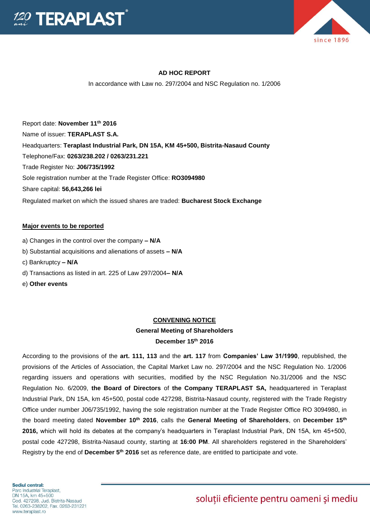



### **AD HOC REPORT**

In accordance with Law no. 297/2004 and NSC Regulation no. 1/2006

Report date: **November 11 th 2016** Name of issuer: **TERAPLAST S.A.**  Headquarters: **Teraplast Industrial Park, DN 15A, KM 45+500, Bistrita-Nasaud County** Telephone/Fax: **0263/238.202 / 0263/231.221** Trade Register No: **J06/735/1992** Sole registration number at the Trade Register Office: **RO3094980** Share capital: **56,643,266 lei** Regulated market on which the issued shares are traded: **Bucharest Stock Exchange**

### **Major events to be reported**

- a) Changes in the control over the company **– N/A**
- b) Substantial acquisitions and alienations of assets **– N/A**
- c) Bankruptcy **– N/A**
- d) Transactions as listed in art. 225 of Law 297/2004**– N/A**
- e) **Other events**

#### **CONVENING NOTICE**

## **General Meeting of Shareholders**

### **December 15th 2016**

According to the provisions of the **art. 111, 113** and the **art. 117** from **Companies' Law 31/1990**, republished, the provisions of the Articles of Association, the Capital Market Law no. 297/2004 and the NSC Regulation No. 1/2006 regarding issuers and operations with securities, modified by the NSC Regulation No.31/2006 and the NSC Regulation No. 6/2009, **the Board of Directors** of **the Company TERAPLAST SA,** headquartered in Teraplast Industrial Park, DN 15A, km 45+500, postal code 427298, Bistrita-Nasaud county, registered with the Trade Registry Office under number J06/735/1992, having the sole registration number at the Trade Register Office RO 3094980, in the board meeting dated **November 10th 2016**, calls the **General Meeting of Shareholders**, on **December 15th 2016,** which will hold its debates at the company's headquarters in Teraplast Industrial Park, DN 15A, km 45+500, postal code 427298, Bistrita-Nasaud county, starting at **16:00 PM**. All shareholders registered in the Shareholders' Registry by the end of **December 5th 2016** set as reference date, are entitled to participate and vote.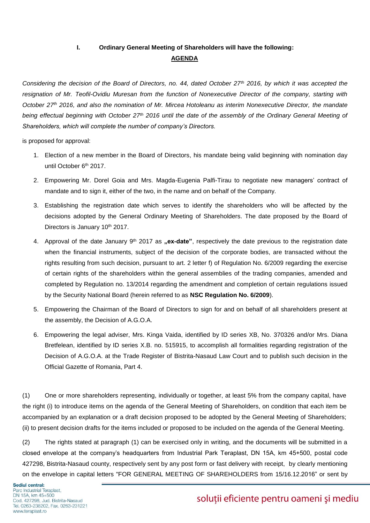## **I. Ordinary General Meeting of Shareholders will have the following: AGENDA**

*Considering the decision of the Board of Directors, no. 44, dated October 27th 2016, by which it was accepted the resignation of Mr. Teofil-Ovidiu Muresan from the function of Nonexecutive Director of the company, starting with October 27th 2016, and also the nomination of Mr. Mircea Hotoleanu as interim Nonexecutive Director, the mandate being effectual beginning with October 27th 2016 until the date of the assembly of the Ordinary General Meeting of Shareholders, which will complete the number of company's Directors.* 

is proposed for approval:

- 1. Election of a new member in the Board of Directors, his mandate being valid beginning with nomination day until October 6<sup>th</sup> 2017.
- 2. Empowering Mr. Dorel Goia and Mrs. Magda-Eugenia Palfi-Tirau to negotiate new managers' contract of mandate and to sign it, either of the two, in the name and on behalf of the Company.
- 3. Establishing the registration date which serves to identify the shareholders who will be affected by the decisions adopted by the General Ordinary Meeting of Shareholders. The date proposed by the Board of Directors is January 10th 2017.
- 4. Approval of the date January 9<sup>th</sup> 2017 as "ex-date", respectively the date previous to the registration date when the financial instruments, subject of the decision of the corporate bodies, are transacted without the rights resulting from such decision, pursuant to art. 2 letter f) of Regulation No. 6/2009 regarding the exercise of certain rights of the shareholders within the general assemblies of the trading companies, amended and completed by Regulation no. 13/2014 regarding the amendment and completion of certain regulations issued by the Security National Board (herein referred to as **NSC Regulation No. 6/2009**).
- 5. Empowering the Chairman of the Board of Directors to sign for and on behalf of all shareholders present at the assembly, the Decision of A.G.O.A.
- 6. Empowering the legal adviser, Mrs. Kinga Vaida, identified by ID series XB, No. 370326 and/or Mrs. Diana Bretfelean, identified by ID series X.B. no. 515915, to accomplish all formalities regarding registration of the Decision of A.G.O.A. at the Trade Register of Bistrita-Nasaud Law Court and to publish such decision in the Official Gazette of Romania, Part 4.

(1) One or more shareholders representing, individually or together, at least 5% from the company capital, have the right (i) to introduce items on the agenda of the General Meeting of Shareholders, on condition that each item be accompanied by an explanation or a draft decision proposed to be adopted by the General Meeting of Shareholders; (ii) to present decision drafts for the items included or proposed to be included on the agenda of the General Meeting.

(2) The rights stated at paragraph (1) can be exercised only in writing, and the documents will be submitted in a closed envelope at the company's headquarters from Industrial Park Teraplast, DN 15A, km 45+500, postal code 427298, Bistrita-Nasaud county, respectively sent by any post form or fast delivery with receipt, by clearly mentioning on the envelope in capital letters "FOR GENERAL MEETING OF SHAREHOLDERS from 15/16.12.2016" or sent by

# soluții eficiente pentru oameni și mediu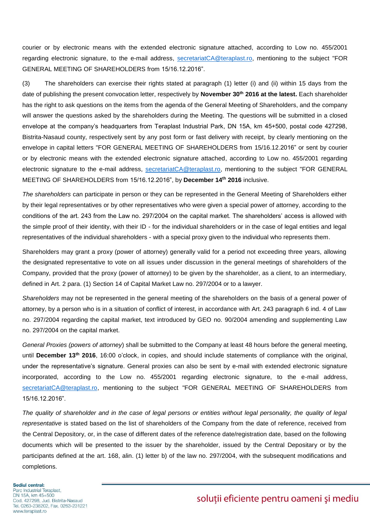courier or by electronic means with the extended electronic signature attached, according to Low no. 455/2001 regarding electronic signature, to the e-mail address, [secretariatCA@teraplast.ro,](mailto:secretariatCA@teraplast.ro) mentioning to the subject "FOR GENERAL MEETING OF SHAREHOLDERS from 15/16.12.2016".

(3) The shareholders can exercise their rights stated at paragraph (1) letter (i) and (ii) within 15 days from the date of publishing the present convocation letter, respectively by **November 30 th 2016 at the latest.** Each shareholder has the right to ask questions on the items from the agenda of the General Meeting of Shareholders, and the company will answer the questions asked by the shareholders during the Meeting. The questions will be submitted in a closed envelope at the company's headquarters from Teraplast Industrial Park, DN 15A, km 45+500, postal code 427298, Bistrita-Nasaud county, respectively sent by any post form or fast delivery with receipt, by clearly mentioning on the envelope in capital letters "FOR GENERAL MEETING OF SHAREHOLDERS from 15/16.12.2016" or sent by courier or by electronic means with the extended electronic signature attached, according to Low no. 455/2001 regarding electronic signature to the e-mail address, [secretariatCA@teraplast.ro,](mailto:secretariatCA@teraplast.ro) mentioning to the subject "FOR GENERAL MEETING OF SHAREHOLDERS from 15/16.12.2016", by **December 14th 2016** inclusive.

*The shareholders* can participate in person or they can be represented in the General Meeting of Shareholders either by their legal representatives or by other representatives who were given a special power of attorney, according to the conditions of the art. 243 from the Law no. 297/2004 on the capital market. The shareholders' access is allowed with the simple proof of their identity, with their ID - for the individual shareholders or in the case of legal entities and legal representatives of the individual shareholders - with a special proxy given to the individual who represents them.

Shareholders may grant a proxy (power of attorney) generally valid for a period not exceeding three years, allowing the designated representative to vote on all issues under discussion in the general meetings of shareholders of the Company, provided that the proxy (power of attorney) to be given by the shareholder, as a client, to an intermediary, defined in Art. 2 para. (1) Section 14 of Capital Market Law no. 297/2004 or to a lawyer.

*Shareholders* may not be represented in the general meeting of the shareholders on the basis of a general power of attorney, by a person who is in a situation of conflict of interest, in accordance with Art. 243 paragraph 6 ind. 4 of Law no. 297/2004 regarding the capital market, text introduced by GEO no. 90/2004 amending and supplementing Law no. 297/2004 on the capital market.

*General Proxies (powers of attorney*) shall be submitted to the Company at least 48 hours before the general meeting, until **December 13th 2016**, 16:00 o'clock, in copies, and should include statements of compliance with the original, under the representative's signature. General proxies can also be sent by e-mail with extended electronic signature incorporated, according to the Low no. 455/2001 regarding electronic signature, to the e-mail address, [secretariatCA@teraplast.ro,](mailto:secretariatCA@teraplast.ro) mentioning to the subject "FOR GENERAL MEETING OF SHAREHOLDERS from 15/16.12.2016".

*The quality of shareholder and in the case of legal persons or entities without legal personality, the quality of legal representative* is stated based on the list of shareholders of the Company from the date of reference, received from the Central Depository, or, in the case of different dates of the reference date/registration date, based on the following documents which will be presented to the issuer by the shareholder, issued by the Central Depositary or by the participants defined at the art. 168, alin. (1) letter b) of the law no. 297/2004, with the subsequent modifications and completions.

#### Sediul central:

Parc Industrial Teraplast, DN 15A, km 45+500 Cod. 427298, Jud. Bistrita-Nasaud Tel. 0263-238202, Fax. 0263-231221 www.teraplast.ro

# soluții eficiente pentru oameni și mediu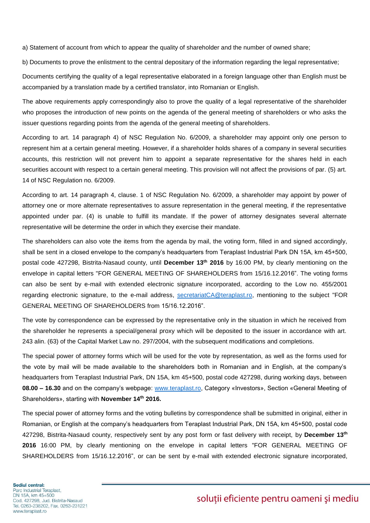a) Statement of account from which to appear the quality of shareholder and the number of owned share;

b) Documents to prove the enlistment to the central depositary of the information regarding the legal representative;

Documents certifying the quality of a legal representative elaborated in a foreign language other than English must be accompanied by a translation made by a certified translator, into Romanian or English.

The above requirements apply correspondingly also to prove the quality of a legal representative of the shareholder who proposes the introduction of new points on the agenda of the general meeting of shareholders or who asks the issuer questions regarding points from the agenda of the general meeting of shareholders.

According to art. 14 paragraph 4) of NSC Regulation No. 6/2009, a shareholder may appoint only one person to represent him at a certain general meeting. However, if a shareholder holds shares of a company in several securities accounts, this restriction will not prevent him to appoint a separate representative for the shares held in each securities account with respect to a certain general meeting. This provision will not affect the provisions of par. (5) art. 14 of NSC Regulation no. 6/2009.

According to art. 14 paragraph 4, clause. 1 of NSC Regulation No. 6/2009, a shareholder may appoint by power of attorney one or more alternate representatives to assure representation in the general meeting, if the representative appointed under par. (4) is unable to fulfill its mandate. If the power of attorney designates several alternate representative will be determine the order in which they exercise their mandate.

The shareholders can also vote the items from the agenda by mail, the voting form, filled in and signed accordingly, shall be sent in a closed envelope to the company's headquarters from Teraplast Industrial Park DN 15A, km 45+500, postal code 427298, Bistrita-Nasaud county, until **December 13th 2016** by 16:00 PM, by clearly mentioning on the envelope in capital letters "FOR GENERAL MEETING OF SHAREHOLDERS from 15/16.12.2016". The voting forms can also be sent by e-mail with extended electronic signature incorporated, according to the Low no. 455/2001 regarding electronic signature, to the e-mail address, [secretariatCA@teraplast.ro,](mailto:secretariatCA@teraplast.ro) mentioning to the subject "FOR GENERAL MEETING OF SHAREHOLDERS from 15/16.12.2016".

The vote by correspondence can be expressed by the representative only in the situation in which he received from the shareholder he represents a special/general proxy which will be deposited to the issuer in accordance with art. 243 alin. (63) of the Capital Market Law no. 297/2004, with the subsequent modifications and completions.

The special power of attorney forms which will be used for the vote by representation, as well as the forms used for the vote by mail will be made available to the shareholders both in Romanian and in English, at the company's headquarters from Teraplast Industrial Park, DN 15A, km 45+500, postal code 427298, during working days, between **08.00 – 16.30** and on the company's webpage: [www.teraplast.ro,](http://www.teraplast.ro/) Category «Investors», Section «General Meeting of Shareholders», starting with **November 14th 2016.**

The special power of attorney forms and the voting bulletins by correspondence shall be submitted in original, either in Romanian, or English at the company's headquarters from Teraplast Industrial Park, DN 15A, km 45+500, postal code 427298, Bistrita-Nasaud county, respectively sent by any post form or fast delivery with receipt, by **December 13th 2016** 16:00 PM, by clearly mentioning on the envelope in capital letters "FOR GENERAL MEETING OF SHAREHOLDERS from 15/16.12.2016", or can be sent by e-mail with extended electronic signature incorporated,